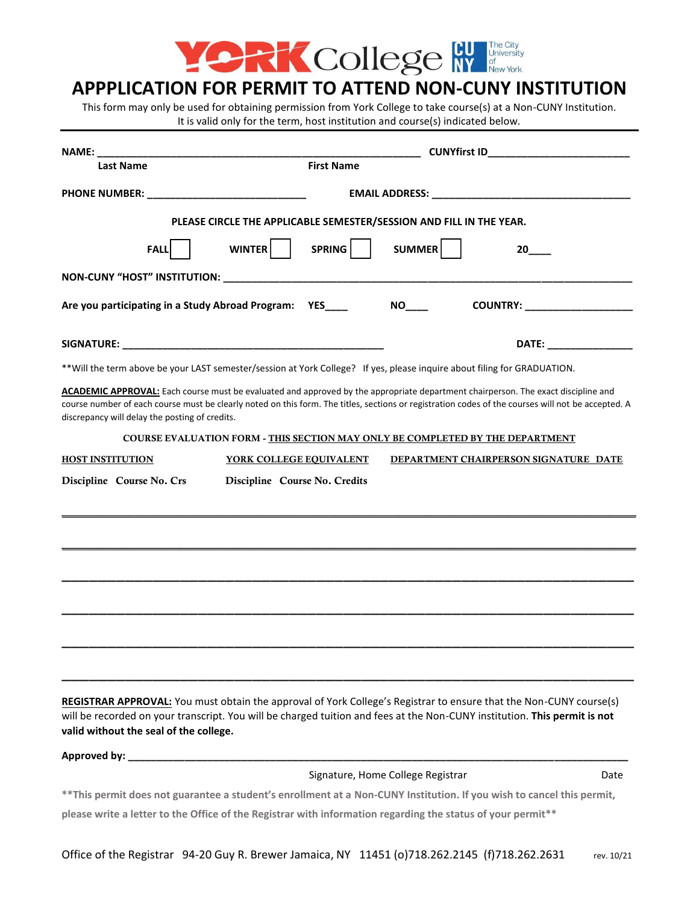

## **APPPLICATION FOR PERMIT TO ATTEND NON-CUNY INSTITUTION**

This form may only be used for obtaining permission from York College to take course(s) at a Non-CUNY Institution. It is valid only for the term, host institution and course(s) indicated below.

| NAME:                                                   |                                                                                                                                                                                                                                                                                         |                                  |
|---------------------------------------------------------|-----------------------------------------------------------------------------------------------------------------------------------------------------------------------------------------------------------------------------------------------------------------------------------------|----------------------------------|
| <b>Last Name</b>                                        | <b>First Name</b>                                                                                                                                                                                                                                                                       |                                  |
|                                                         | <b>EMAIL ADDRESS: EMAIL ADDRESS:</b>                                                                                                                                                                                                                                                    |                                  |
|                                                         | PLEASE CIRCLE THE APPLICABLE SEMESTER/SESSION AND FILL IN THE YEAR.                                                                                                                                                                                                                     |                                  |
| <b>FALL</b>                                             | SPRING<br>WINTER<br>SUMMER                                                                                                                                                                                                                                                              | 20 -                             |
|                                                         |                                                                                                                                                                                                                                                                                         |                                  |
| Are you participating in a Study Abroad Program: YES___ | NO <sub>t</sub>                                                                                                                                                                                                                                                                         | COUNTRY: Network of the COUNTRY: |
|                                                         |                                                                                                                                                                                                                                                                                         |                                  |
|                                                         | **Will the term above be your LAST semester/session at York College? If yes, please inquire about filing for GRADUATION.                                                                                                                                                                |                                  |
| discrepancy will delay the posting of credits.          | ACADEMIC APPROVAL: Each course must be evaluated and approved by the appropriate department chairperson. The exact discipline and<br>course number of each course must be clearly noted on this form. The titles, sections or registration codes of the courses will not be accepted. A |                                  |
|                                                         | COURSE EVALUATION FORM - THIS SECTION MAY ONLY BE COMPLETED BY THE DEPARTMENT                                                                                                                                                                                                           |                                  |
| <b>HOST INSTITUTION</b>                                 | YORK COLLEGE EQUIVALENT<br>DEPARTMENT CHAIRPERSON SIGNATURE DATE                                                                                                                                                                                                                        |                                  |
|                                                         |                                                                                                                                                                                                                                                                                         |                                  |
|                                                         |                                                                                                                                                                                                                                                                                         |                                  |
|                                                         |                                                                                                                                                                                                                                                                                         |                                  |
| valid without the seal of the college.                  | REGISTRAR APPROVAL: You must obtain the approval of York College's Registrar to ensure that the Non-CUNY course(s)<br>will be recorded on your transcript. You will be charged tuition and fees at the Non-CUNY institution. This permit is not                                         |                                  |
|                                                         | Approved by: New York State State State State State State State State State State State State State State State State State State State State State State State State State State State State State State State State State St                                                          |                                  |
|                                                         | Signature, Home College Registrar                                                                                                                                                                                                                                                       | Date                             |
|                                                         | ** This permit does not guarantee a student's enrollment at a Non-CUNY Institution. If you wish to cancel this permit,<br>please write a letter to the Office of the Registrar with information regarding the status of your permit**                                                   |                                  |
|                                                         |                                                                                                                                                                                                                                                                                         |                                  |